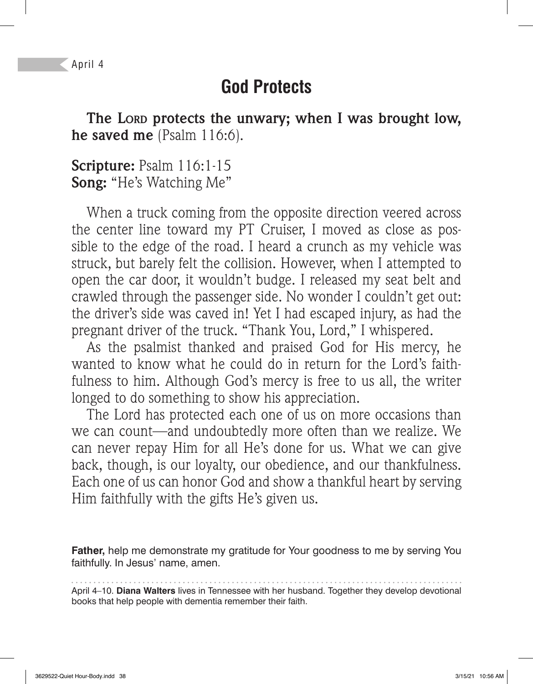April 4

## **God Protects**

**The LORD protects the unwary; when I was brought low, he saved me** (Psalm 116:6).

**Scripture:** Psalm 116:1-15 **Song:** "He's Watching Me"

When a truck coming from the opposite direction veered across the center line toward my PT Cruiser, I moved as close as possible to the edge of the road. I heard a crunch as my vehicle was struck, but barely felt the collision. However, when I attempted to open the car door, it wouldn't budge. I released my seat belt and crawled through the passenger side. No wonder I couldn't get out: the driver's side was caved in! Yet I had escaped injury, as had the pregnant driver of the truck. "Thank You, Lord," I whispered.

As the psalmist thanked and praised God for His mercy, he wanted to know what he could do in return for the Lord's faithfulness to him. Although God's mercy is free to us all, the writer longed to do something to show his appreciation.

The Lord has protected each one of us on more occasions than we can count—and undoubtedly more often than we realize. We can never repay Him for all He's done for us. What we can give back, though, is our loyalty, our obedience, and our thankfulness. Each one of us can honor God and show a thankful heart by serving Him faithfully with the gifts He's given us.

**Father,** help me demonstrate my gratitude for Your goodness to me by serving You faithfully. In Jesus' name, amen.

April 4–10. **Diana Walters** lives in Tennessee with her husband. Together they develop devotional books that help people with dementia remember their faith.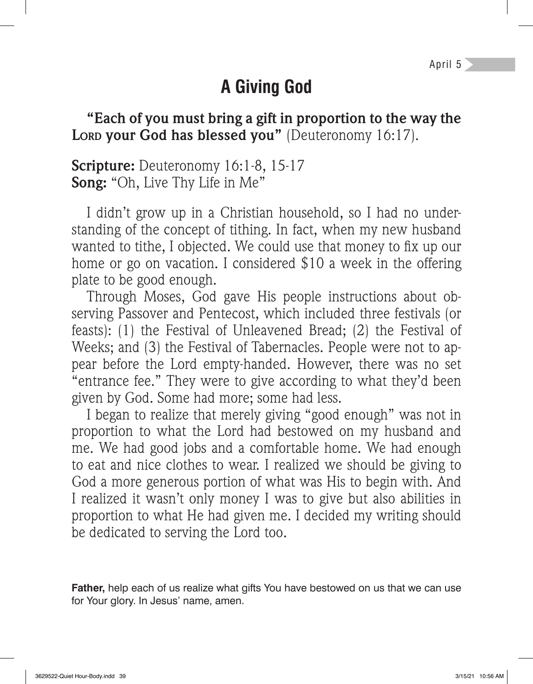# **A Giving God**

**"Each of you must bring a gift in proportion to the way the**  Lord your God has blessed you" (Deuteronomy 16:17).

**Scripture:** Deuteronomy 16:1-8, 15-17 **Song:** "Oh, Live Thy Life in Me"

I didn't grow up in a Christian household, so I had no understanding of the concept of tithing. In fact, when my new husband wanted to tithe, I objected. We could use that money to fix up our home or go on vacation. I considered \$10 a week in the offering plate to be good enough.

Through Moses, God gave His people instructions about observing Passover and Pentecost, which included three festivals (or feasts): (1) the Festival of Unleavened Bread; (2) the Festival of Weeks; and (3) the Festival of Tabernacles. People were not to appear before the Lord empty-handed. However, there was no set "entrance fee." They were to give according to what they'd been given by God. Some had more; some had less.

I began to realize that merely giving "good enough" was not in proportion to what the Lord had bestowed on my husband and me. We had good jobs and a comfortable home. We had enough to eat and nice clothes to wear. I realized we should be giving to God a more generous portion of what was His to begin with. And I realized it wasn't only money I was to give but also abilities in proportion to what He had given me. I decided my writing should be dedicated to serving the Lord too.

**Father,** help each of us realize what gifts You have bestowed on us that we can use for Your glory. In Jesus' name, amen.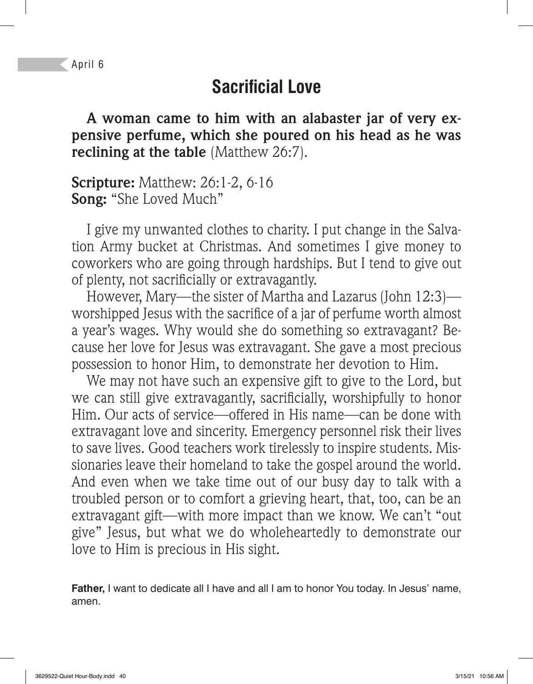## **Sacrificial Love**

**A woman came to him with an alabaster jar of very expensive perfume, which she poured on his head as he was reclining at the table** (Matthew 26:7).

**Scripture:** Matthew: 26:1-2, 6-16 **Song:** "She Loved Much"

I give my unwanted clothes to charity. I put change in the Salvation Army bucket at Christmas. And sometimes I give money to coworkers who are going through hardships. But I tend to give out of plenty, not sacrificially or extravagantly.

However, Mary—the sister of Martha and Lazarus (John 12:3) worshipped Jesus with the sacrifice of a jar of perfume worth almost a year's wages. Why would she do something so extravagant? Because her love for Jesus was extravagant. She gave a most precious possession to honor Him, to demonstrate her devotion to Him.

We may not have such an expensive gift to give to the Lord, but we can still give extravagantly, sacrificially, worshipfully to honor Him. Our acts of service—offered in His name—can be done with extravagant love and sincerity. Emergency personnel risk their lives to save lives. Good teachers work tirelessly to inspire students. Missionaries leave their homeland to take the gospel around the world. And even when we take time out of our busy day to talk with a troubled person or to comfort a grieving heart, that, too, can be an extravagant gift—with more impact than we know. We can't "out give" Jesus, but what we do wholeheartedly to demonstrate our love to Him is precious in His sight.

**Father,** I want to dedicate all I have and all I am to honor You today. In Jesus' name, amen.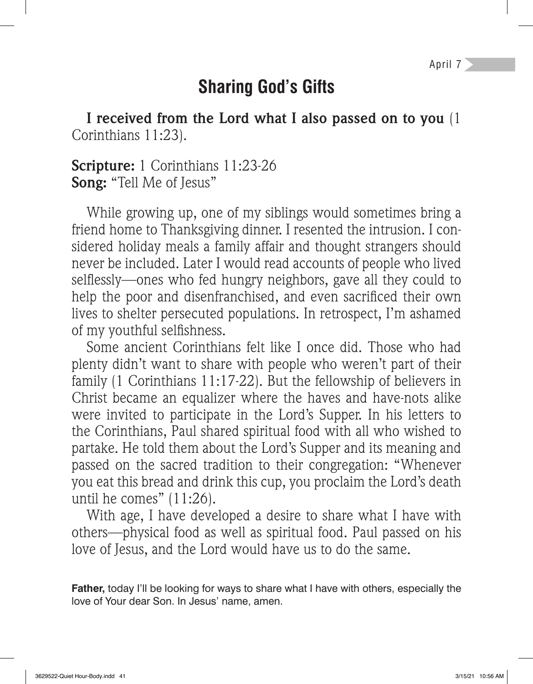## **Sharing God's Gifts**

**I received from the Lord what I also passed on to you** (1 Corinthians 11:23).

**Scripture:** 1 Corinthians 11:23-26 **Song:** "Tell Me of Jesus"

While growing up, one of my siblings would sometimes bring a friend home to Thanksgiving dinner. I resented the intrusion. I considered holiday meals a family affair and thought strangers should never be included. Later I would read accounts of people who lived selflessly—ones who fed hungry neighbors, gave all they could to help the poor and disenfranchised, and even sacrificed their own lives to shelter persecuted populations. In retrospect, I'm ashamed of my youthful selfishness.

Some ancient Corinthians felt like I once did. Those who had plenty didn't want to share with people who weren't part of their family (1 Corinthians 11:17-22). But the fellowship of believers in Christ became an equalizer where the haves and have-nots alike were invited to participate in the Lord's Supper. In his letters to the Corinthians, Paul shared spiritual food with all who wished to partake. He told them about the Lord's Supper and its meaning and passed on the sacred tradition to their congregation: "Whenever you eat this bread and drink this cup, you proclaim the Lord's death until he comes" (11:26).

With age, I have developed a desire to share what I have with others—physical food as well as spiritual food. Paul passed on his love of Jesus, and the Lord would have us to do the same.

**Father,** today I'll be looking for ways to share what I have with others, especially the love of Your dear Son. In Jesus' name, amen.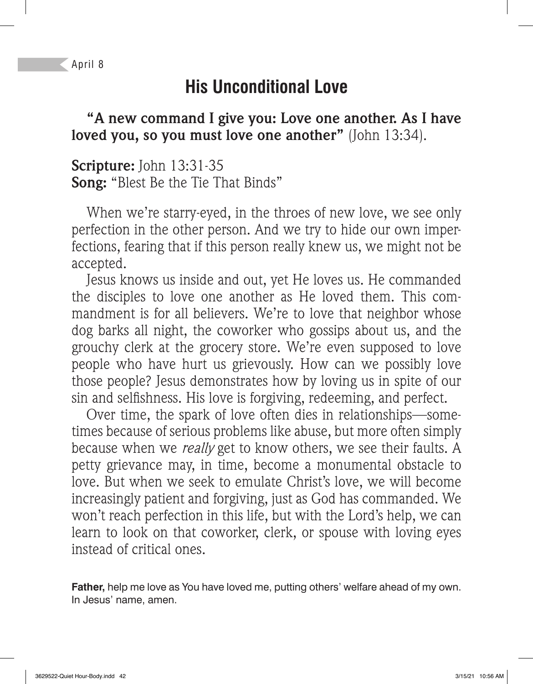April 8

# **His Unconditional Love**

**"A new command I give you: Love one another. As I have loved you, so you must love one another"** (John 13:34).

**Scripture:** John 13:31-35 **Song:** "Blest Be the Tie That Binds"

When we're starry-eyed, in the throes of new love, we see only perfection in the other person. And we try to hide our own imperfections, fearing that if this person really knew us, we might not be accepted.

Jesus knows us inside and out, yet He loves us. He commanded the disciples to love one another as He loved them. This commandment is for all believers. We're to love that neighbor whose dog barks all night, the coworker who gossips about us, and the grouchy clerk at the grocery store. We're even supposed to love people who have hurt us grievously. How can we possibly love those people? Jesus demonstrates how by loving us in spite of our sin and selfishness. His love is forgiving, redeeming, and perfect.

Over time, the spark of love often dies in relationships—sometimes because of serious problems like abuse, but more often simply because when we *really* get to know others, we see their faults. A petty grievance may, in time, become a monumental obstacle to love. But when we seek to emulate Christ's love, we will become increasingly patient and forgiving, just as God has commanded. We won't reach perfection in this life, but with the Lord's help, we can learn to look on that coworker, clerk, or spouse with loving eyes instead of critical ones.

**Father,** help me love as You have loved me, putting others' welfare ahead of my own. In Jesus' name, amen.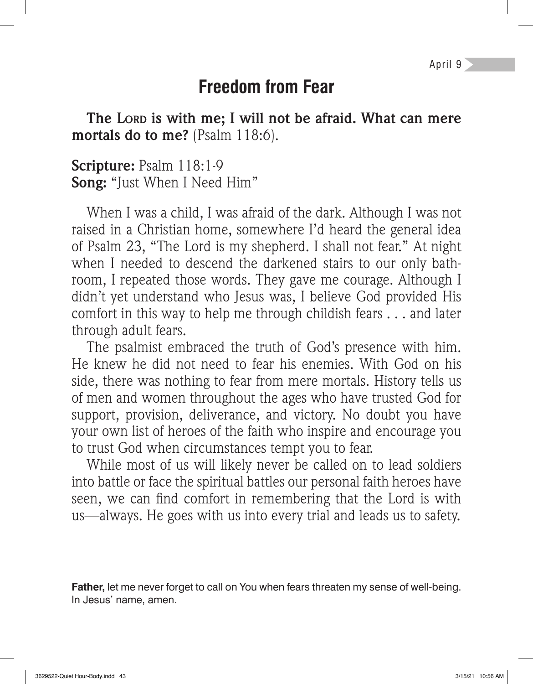April 9

#### **Freedom from Fear**

**The LORD is with me; I will not be afraid. What can mere mortals do to me?** (Psalm 118:6).

**Scripture:** Psalm 118:1-9 **Song:** "Just When I Need Him"

When I was a child, I was afraid of the dark. Although I was not raised in a Christian home, somewhere I'd heard the general idea of Psalm 23, "The Lord is my shepherd. I shall not fear." At night when I needed to descend the darkened stairs to our only bathroom, I repeated those words. They gave me courage. Although I didn't yet understand who Jesus was, I believe God provided His comfort in this way to help me through childish fears . . . and later through adult fears.

The psalmist embraced the truth of God's presence with him. He knew he did not need to fear his enemies. With God on his side, there was nothing to fear from mere mortals. History tells us of men and women throughout the ages who have trusted God for support, provision, deliverance, and victory. No doubt you have your own list of heroes of the faith who inspire and encourage you to trust God when circumstances tempt you to fear.

While most of us will likely never be called on to lead soldiers into battle or face the spiritual battles our personal faith heroes have seen, we can find comfort in remembering that the Lord is with us—always. He goes with us into every trial and leads us to safety.

**Father,** let me never forget to call on You when fears threaten my sense of well-being. In Jesus' name, amen.